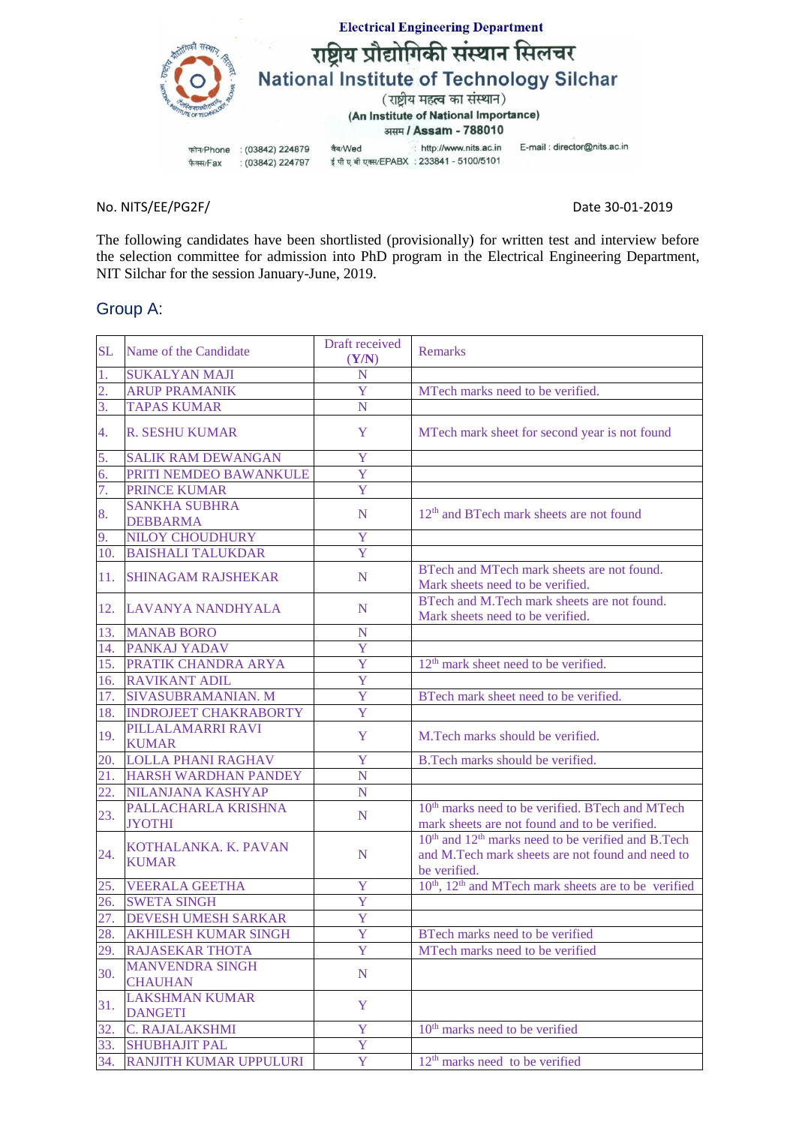

No. NITS/EE/PG2F/ Date 30-01-2019

The following candidates have been shortlisted (provisionally) for written test and interview before the selection committee for admission into PhD program in the Electrical Engineering Department, NIT Silchar for the session January-June, 2019.

## Group A:

| <b>SL</b>         | Name of the Candidate                    | Draft received<br>(Y/N) | <b>Remarks</b>                                                                                                                                 |
|-------------------|------------------------------------------|-------------------------|------------------------------------------------------------------------------------------------------------------------------------------------|
| 1.                | <b>SUKALYAN MAJI</b>                     | N                       |                                                                                                                                                |
| 2.                | <b>ARUP PRAMANIK</b>                     | Y                       | MTech marks need to be verified.                                                                                                               |
| 3.                | <b>TAPAS KUMAR</b>                       | N                       |                                                                                                                                                |
| 4.                | <b>R. SESHU KUMAR</b>                    | Y                       | MTech mark sheet for second year is not found                                                                                                  |
| 5.                | <b>SALIK RAM DEWANGAN</b>                | Y                       |                                                                                                                                                |
| 6.                | PRITI NEMDEO BAWANKULE                   | Y                       |                                                                                                                                                |
| 7.                | PRINCE KUMAR                             | Y                       |                                                                                                                                                |
| 8.                | <b>SANKHA SUBHRA</b><br><b>DEBBARMA</b>  | N                       | 12 <sup>th</sup> and BTech mark sheets are not found                                                                                           |
| 9.                | <b>NILOY CHOUDHURY</b>                   | Y                       |                                                                                                                                                |
| 10.               | <b>BAISHALI TALUKDAR</b>                 | Y                       |                                                                                                                                                |
| 11.               | <b>SHINAGAM RAJSHEKAR</b>                | N                       | BTech and MTech mark sheets are not found.<br>Mark sheets need to be verified.                                                                 |
| 12.               | LAVANYA NANDHYALA                        | N                       | BTech and M.Tech mark sheets are not found.<br>Mark sheets need to be verified.                                                                |
| 13.               | <b>MANAB BORO</b>                        | N                       |                                                                                                                                                |
| 14.               | <b>PANKAJ YADAV</b>                      | Ÿ                       |                                                                                                                                                |
| 15.               | PRATIK CHANDRA ARYA                      | Ÿ                       | 12 <sup>th</sup> mark sheet need to be verified.                                                                                               |
| 16.               | <b>RAVIKANT ADIL</b>                     | Ÿ                       |                                                                                                                                                |
| 17.               | <b>SIVASUBRAMANIAN. M</b>                | Ÿ                       | BTech mark sheet need to be verified.                                                                                                          |
| 18.               | <b>INDROJEET CHAKRABORTY</b>             | Ÿ                       |                                                                                                                                                |
| 19.               | PILLALAMARRI RAVI<br><b>KUMAR</b>        | Y                       | M.Tech marks should be verified.                                                                                                               |
| 20.               | <b>LOLLA PHANI RAGHAV</b>                | Y                       | B.Tech marks should be verified.                                                                                                               |
| 21.               | HARSH WARDHAN PANDEY                     | N                       |                                                                                                                                                |
| $\overline{22}$ . | <b>NILANJANA KASHYAP</b>                 | N                       |                                                                                                                                                |
| 23.               | PALLACHARLA KRISHNA<br><b>JYOTHI</b>     | N                       | 10 <sup>th</sup> marks need to be verified. BTech and MTech<br>mark sheets are not found and to be verified.                                   |
| 24.               | KOTHALANKA. K. PAVAN<br><b>KUMAR</b>     | N                       | 10 <sup>th</sup> and 12 <sup>th</sup> marks need to be verified and B.Tech<br>and M.Tech mark sheets are not found and need to<br>be verified. |
| 25.               | <b>VEERALA GEETHA</b>                    | Y                       | 10 <sup>th</sup> , 12 <sup>th</sup> and MTech mark sheets are to be verified                                                                   |
| 26.               | <b>SWETA SINGH</b>                       | $\overline{Y}$          |                                                                                                                                                |
| 27.               | <b>DEVESH UMESH SARKAR</b>               | Y                       |                                                                                                                                                |
| 28.               | <b>AKHILESH KUMAR SINGH</b>              | Y                       | BTech marks need to be verified                                                                                                                |
| 29.               | <b>RAJASEKAR THOTA</b>                   | Y                       | MTech marks need to be verified                                                                                                                |
| 30.               | <b>MANVENDRA SINGH</b><br><b>CHAUHAN</b> | ${\bf N}$               |                                                                                                                                                |
| 31.               | <b>LAKSHMAN KUMAR</b><br><b>DANGETI</b>  | Y                       |                                                                                                                                                |
| 32.               | C. RAJALAKSHMI                           | Y                       | 10 <sup>th</sup> marks need to be verified                                                                                                     |
| 33.               | <b>SHUBHAJIT PAL</b>                     | Y                       |                                                                                                                                                |
| 34.               | RANJITH KUMAR UPPULURI                   | Y                       | $12th$ marks need to be verified                                                                                                               |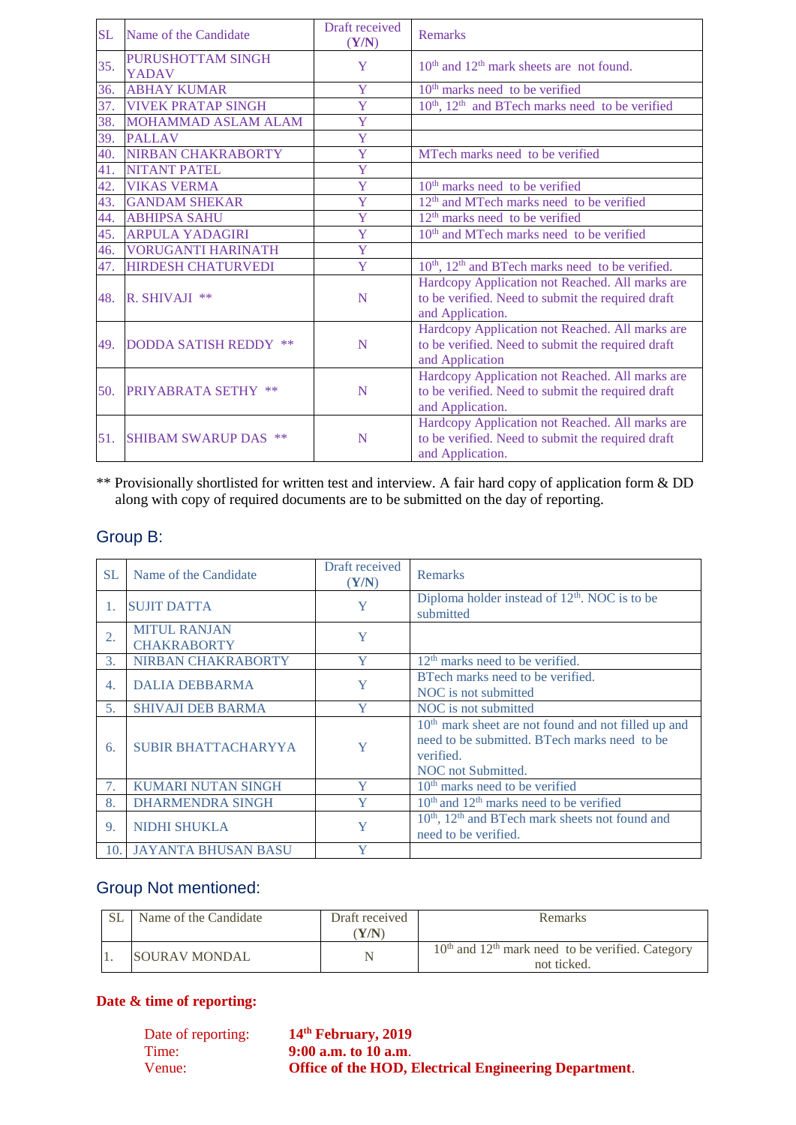| <b>SL</b> | Name of the Candidate                    | Draft received<br>(Y/N) | Remarks                                                                                                                  |
|-----------|------------------------------------------|-------------------------|--------------------------------------------------------------------------------------------------------------------------|
| 35.       | <b>PURUSHOTTAM SINGH</b><br><b>YADAV</b> | Y                       | $10th$ and $12th$ mark sheets are not found.                                                                             |
| 36.       | <b>ABHAY KUMAR</b>                       | Y                       | $10th$ marks need to be verified                                                                                         |
| 37.       | <b>VIVEK PRATAP SINGH</b>                | Y                       | 10 <sup>th</sup> , 12 <sup>th</sup> and BTech marks need to be verified                                                  |
| 38.       | MOHAMMAD ASLAM ALAM                      | Y                       |                                                                                                                          |
| 39.       | <b>PALLAV</b>                            | $\overline{Y}$          |                                                                                                                          |
| 40.       | <b>NIRBAN CHAKRABORTY</b>                | Y                       | MTech marks need to be verified                                                                                          |
| 41.       | <b>NITANT PATEL</b>                      | Y                       |                                                                                                                          |
| 42.       | <b>VIKAS VERMA</b>                       | Y                       | $10th$ marks need to be verified                                                                                         |
| 43.       | <b>GANDAM SHEKAR</b>                     | Y                       | 12 <sup>th</sup> and MTech marks need to be verified                                                                     |
| 44.       | <b>ABHIPSA SAHU</b>                      | Y                       | $12th$ marks need to be verified                                                                                         |
| 45.       | <b>ARPULA YADAGIRI</b>                   | Y                       | 10 <sup>th</sup> and MTech marks need to be verified                                                                     |
| 46.       | <b>VORUGANTI HARINATH</b>                | Y                       |                                                                                                                          |
| 47.       | <b>HIRDESH CHATURVEDI</b>                | Y                       | $10th$ , $12th$ and BTech marks need to be verified.                                                                     |
| 48.       | $R$ . SHIVAJI **                         | N                       | Hardcopy Application not Reached. All marks are<br>to be verified. Need to submit the required draft<br>and Application. |
| 49.       | <b>DODDA SATISH REDDY **</b>             | N                       | Hardcopy Application not Reached. All marks are<br>to be verified. Need to submit the required draft<br>and Application  |
| 50.       | <b>PRIYABRATA SETHY **</b>               | N                       | Hardcopy Application not Reached. All marks are<br>to be verified. Need to submit the required draft<br>and Application. |
| 51.       | <b>SHIBAM SWARUP DAS **</b>              | N                       | Hardcopy Application not Reached. All marks are<br>to be verified. Need to submit the required draft<br>and Application. |

\*\* Provisionally shortlisted for written test and interview. A fair hard copy of application form & DD along with copy of required documents are to be submitted on the day of reporting.

## Group B:

| SL.            | Name of the Candidate                     | Draft received<br>(Y/N) | <b>Remarks</b>                                                                                                                                      |
|----------------|-------------------------------------------|-------------------------|-----------------------------------------------------------------------------------------------------------------------------------------------------|
| 1.             | <b>SUJIT DATTA</b>                        | Y                       | Diploma holder instead of $12th$ . NOC is to be<br>submitted                                                                                        |
| 2.             | <b>MITUL RANJAN</b><br><b>CHAKRABORTY</b> | Y                       |                                                                                                                                                     |
| 3.             | NIRBAN CHAKRABORTY                        | Y                       | 12 <sup>th</sup> marks need to be verified.                                                                                                         |
| 4.             | <b>DALIA DEBBARMA</b>                     | Y                       | BTech marks need to be verified.<br>NOC is not submitted                                                                                            |
| 5.             | <b>SHIVAJI DEB BARMA</b>                  | Y                       | NOC is not submitted                                                                                                                                |
| 6.             | <b>SUBIR BHATTACHARYYA</b>                | Y                       | 10 <sup>th</sup> mark sheet are not found and not filled up and<br>need to be submitted. B Tech marks need to be<br>verified.<br>NOC not Submitted. |
| 7 <sub>1</sub> | <b>KUMARI NUTAN SINGH</b>                 | Y                       | $10th$ marks need to be verified                                                                                                                    |
| 8.             | <b>DHARMENDRA SINGH</b>                   | Y                       | $10th$ and $12th$ marks need to be verified                                                                                                         |
| 9.             | <b>NIDHI SHUKLA</b>                       | Y                       | 10 <sup>th</sup> , 12 <sup>th</sup> and BTech mark sheets not found and<br>need to be verified.                                                     |
| 10.            | <b>JAYANTA BHUSAN BASU</b>                | Y                       |                                                                                                                                                     |

## Group Not mentioned:

| Name of the Candidate | Draft received<br>Y/N | Remarks                                                             |
|-----------------------|-----------------------|---------------------------------------------------------------------|
| <b>SOURAV MONDAL</b>  |                       | $10th$ and $12th$ mark need to be verified. Category<br>not ticked. |

## **Date & time of reporting:**

| Date of reporting: | 14 <sup>th</sup> February, 2019                       |
|--------------------|-------------------------------------------------------|
| Time:              | $9:00$ a.m. to 10 a.m.                                |
| Venue:             | Office of the HOD, Electrical Engineering Department. |